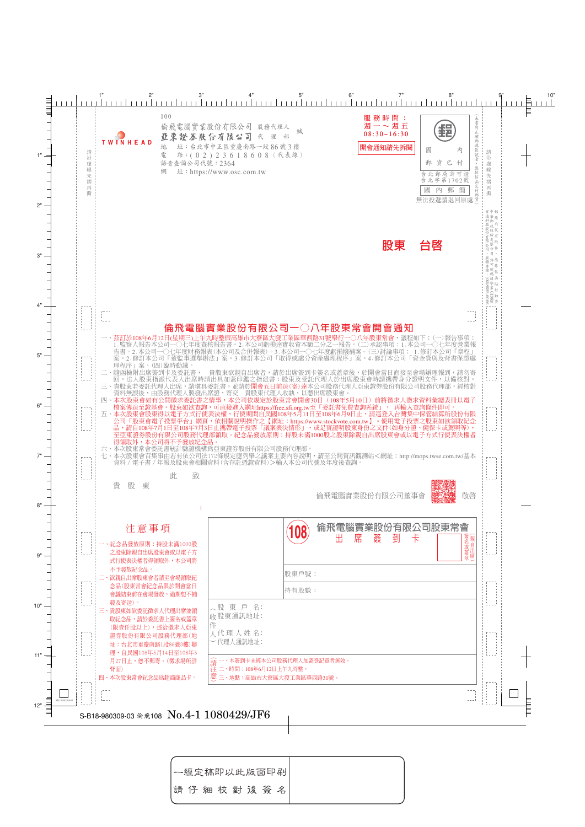